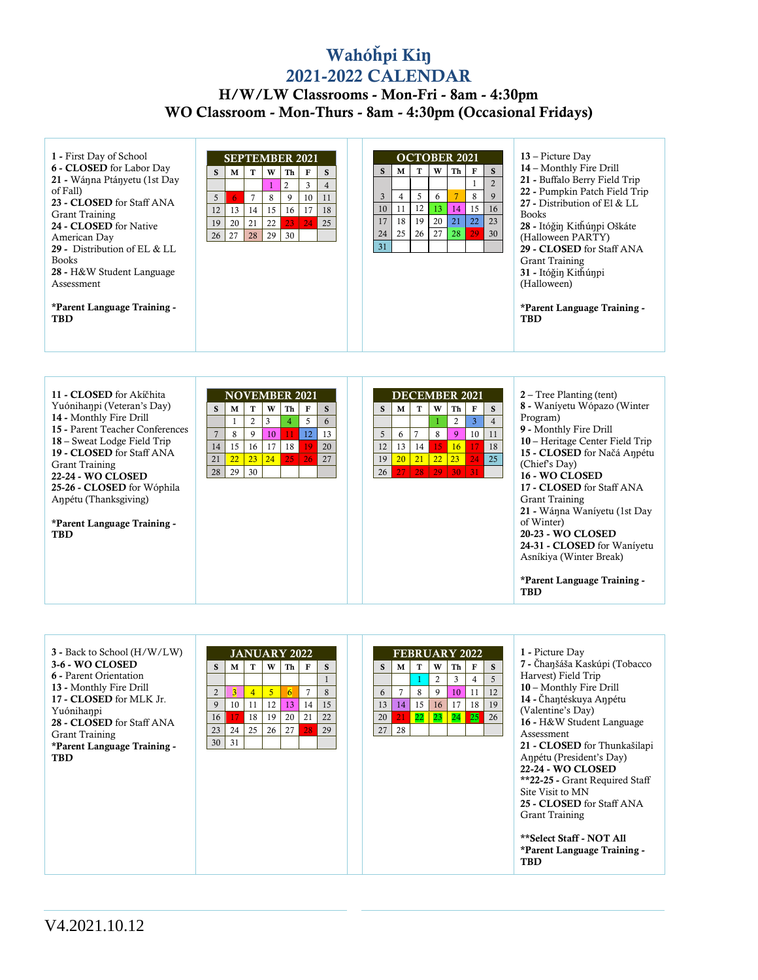## Wahó**ȟ**pi Ki**ŋ** 2021-2022 CALENDAR

## H/W/LW Classrooms - Mon-Fri - 8am - 4:30pm WO Classroom - Mon-Thurs - 8am - 4:30pm (Occasional Fridays)

| 1 - First Day of School<br>6 - CLOSED for Labor Day |    | <b>SEPTEMBER 2021</b> |                |    |                 |    |                |  |    |    |    | W  | <b>OCTOBER 2021</b> |    | S.             | 13 – Picture Day<br>14 - Monthly Fire Drill |
|-----------------------------------------------------|----|-----------------------|----------------|----|-----------------|----|----------------|--|----|----|----|----|---------------------|----|----------------|---------------------------------------------|
| 21 - Wánna Ptányetu (1st Day                        | S  | М                     | т              | W  | Th 1            | F  | S              |  | S. | М  |    |    | Th                  | F  | $\overline{2}$ | 21 - Buffalo Berry Field Trip               |
| of Fall)                                            |    |                       |                |    | $\overline{2}$  | 3  | $\overline{4}$ |  | 3  |    | 5  |    |                     | 8  | 9              | 22 - Pumpkin Patch Field Trip               |
| 23 - CLOSED for Staff ANA                           | 5  | 6.                    | $\overline{7}$ | 8  | 9               | 10 | 11             |  |    | 4  |    | 6  |                     |    |                | 27 - Distribution of El & LL                |
| Grant Training                                      | 12 | 13                    | 14             | 15 | 16 <sup>1</sup> | 17 | 18             |  | 10 | 11 | 12 | 13 | 14                  | 15 | 16             | <b>Books</b>                                |
| 24 - CLOSED for Native                              | 19 | 20                    | 21             | 22 | 23 <sub>1</sub> | 24 | 25             |  | 17 | 18 | 19 | 20 | 21                  | 22 | 23             | 28 - Itóğin Kithúnpi Oškáte                 |
| American Day                                        | 26 | 27                    | 28             | 29 | 30              |    |                |  | 24 | 25 | 26 | 27 | 28                  | 29 | 30             | (Halloween PARTY)                           |
| 29 - Distribution of EL & LL                        |    |                       |                |    |                 |    |                |  | 31 |    |    |    |                     |    |                | 29 - CLOSED for Staff ANA                   |
| <b>Books</b>                                        |    |                       |                |    |                 |    |                |  |    |    |    |    |                     |    |                | Grant Training                              |
| 28 - H&W Student Language                           |    |                       |                |    |                 |    |                |  |    |    |    |    |                     |    |                | 31 - Itóğin Kithúnpi                        |
| Assessment                                          |    |                       |                |    |                 |    |                |  |    |    |    |    |                     |    |                | (Halloween)                                 |
| *Parent Language Training -<br>TBD                  |    |                       |                |    |                 |    |                |  |    |    |    |    |                     |    |                | *Parent Language Training -<br><b>TBD</b>   |

| 11 - CLOSED for Akičhita        |    |                     | <b>NOVEMBER 2021</b> |    |    |    |    |  |                 |                 |    | <b>DECEMBER 2021</b> |                 |                 |    | $2 -$ Tree Planting (tent)                |
|---------------------------------|----|---------------------|----------------------|----|----|----|----|--|-----------------|-----------------|----|----------------------|-----------------|-----------------|----|-------------------------------------------|
| Yuónihanpi (Veteran's Day)      | S  | M                   | т                    | W  | Th | F  | S  |  | S               | М               | т  | W                    | Th              | F               | S. | 8 - Waniyetu Wópazo (Winter               |
| 14 - Monthly Fire Drill         |    |                     | 2                    | 3  | 4  | 5  | 6  |  |                 |                 |    |                      |                 | 3               | 4  | Program)                                  |
| 15 - Parent Teacher Conferences |    | $\overline{7}$<br>8 | 9                    | 10 |    | 12 | 13 |  | 5               | 6               | 7  | 8                    | 9               | 10 <sup>1</sup> | 11 | 9 - Monthly Fire Drill                    |
| 18 – Sweat Lodge Field Trip     | 14 | 15                  | 16                   | 17 | 18 |    | 20 |  | 12              | 13              | 14 | 15                   | 16 <sup>2</sup> | 17              | 18 | 10 – Heritage Center Field Trip           |
| 19 - CLOSED for Staff ANA       |    |                     |                      |    |    |    |    |  |                 |                 |    |                      |                 |                 |    | 15 - CLOSED for Načá Anpétu               |
| Grant Training                  | 21 | 22 <sup>2</sup>     | 23                   | 24 | 25 | 26 | 27 |  | 19              | 20 <sup>2</sup> |    | $21$ 22              | 23              | 24              | 25 | (Chief's Day)                             |
| <b>22-24 - WO CLOSED</b>        | 28 | 29                  | 30                   |    |    |    |    |  | 26 <sup>1</sup> |                 |    | 27 28 29 30 31       |                 |                 |    | 16 - WO CLOSED                            |
| 25-26 - CLOSED for Wóphila      |    |                     |                      |    |    |    |    |  |                 |                 |    |                      |                 |                 |    | 17 - CLOSED for Staff ANA                 |
| Anpétu (Thanksgiving)           |    |                     |                      |    |    |    |    |  |                 |                 |    |                      |                 |                 |    | Grant Training                            |
|                                 |    |                     |                      |    |    |    |    |  |                 |                 |    |                      |                 |                 |    | 21 - Wánna Waníyetu (1st Day              |
| *Parent Language Training -     |    |                     |                      |    |    |    |    |  |                 |                 |    |                      |                 |                 |    | of Winter)                                |
| <b>TBD</b>                      |    |                     |                      |    |    |    |    |  |                 |                 |    |                      |                 |                 |    | <b>20-23 - WO CLOSED</b>                  |
|                                 |    |                     |                      |    |    |    |    |  |                 |                 |    |                      |                 |                 |    | 24-31 - CLOSED for Wanivetu               |
|                                 |    |                     |                      |    |    |    |    |  |                 |                 |    |                      |                 |                 |    | Asníkiya (Winter Break)                   |
|                                 |    |                     |                      |    |    |    |    |  |                 |                 |    |                      |                 |                 |    |                                           |
|                                 |    |                     |                      |    |    |    |    |  |                 |                 |    |                      |                 |                 |    | *Parent Language Training -<br><b>TBD</b> |

| 3 - Back to School (H/W/LW)   |                |    | <b>JANUARY 2022</b> |    |                |                |    |  |                 | <b>FEBRUARY 2022</b> |    |          |    |    |                | 1 - Picture Day                |
|-------------------------------|----------------|----|---------------------|----|----------------|----------------|----|--|-----------------|----------------------|----|----------|----|----|----------------|--------------------------------|
| 3-6 - WO CLOSED               | S              | М  | т                   | W  | Th             | F              | S  |  | S               | M                    | т  | W        | Th | F  | S.             | 7 - Čhanšáša Kaskúpi (Tobacco  |
| <b>6</b> - Parent Orientation |                |    |                     |    |                |                |    |  |                 |                      |    | 2        | 3  | 4  | $\overline{5}$ | Harvest) Field Trip            |
| 13 - Monthly Fire Drill       | $\overline{2}$ |    | 4                   | 5  | $\overline{6}$ | $\overline{7}$ | 8  |  | 6               | $\overline{7}$       | 8  | 9        | 10 | 11 | 12             | 10 – Monthly Fire Drill        |
| 17 - CLOSED for MLK Jr.       | 9              | 10 | 11                  | 12 | 13             | 14             | 15 |  | 13              | 14                   | 15 | 16       | 17 | 18 | 19             | 14 - Čhantéskuya Anpétu        |
| Yuónihanpi                    |                | 17 | 18                  | 19 | 20             | 21             | 22 |  | 20 <sup>1</sup> | 21                   | 22 |          |    |    | 26             | (Valentine's Day)              |
| 28 - CLOSED for Staff ANA     | 16             |    |                     |    |                |                |    |  |                 |                      |    | 23 24 25 |    |    |                | 16 - H&W Student Language      |
| Grant Training                | 23             | 24 | 25                  | 26 | 27             | 28             | 29 |  | 27              | 28                   |    |          |    |    |                | Assessment                     |
| *Parent Language Training -   | 30             | 31 |                     |    |                |                |    |  |                 |                      |    |          |    |    |                | 21 - CLOSED for Thunkašilapi   |
| <b>TBD</b>                    |                |    |                     |    |                |                |    |  |                 |                      |    |          |    |    |                | Anpétu (President's Day)       |
|                               |                |    |                     |    |                |                |    |  |                 |                      |    |          |    |    |                | <b>22-24 - WO CLOSED</b>       |
|                               |                |    |                     |    |                |                |    |  |                 |                      |    |          |    |    |                | **22-25 - Grant Required Staff |
|                               |                |    |                     |    |                |                |    |  |                 |                      |    |          |    |    |                | Site Visit to MN               |
|                               |                |    |                     |    |                |                |    |  |                 |                      |    |          |    |    |                | 25 - CLOSED for Staff ANA      |
|                               |                |    |                     |    |                |                |    |  |                 |                      |    |          |    |    |                | Grant Training                 |
|                               |                |    |                     |    |                |                |    |  |                 |                      |    |          |    |    |                |                                |
|                               |                |    |                     |    |                |                |    |  |                 |                      |    |          |    |    |                | **Select Staff - NOT All       |
|                               |                |    |                     |    |                |                |    |  |                 |                      |    |          |    |    |                | *Parent Language Training -    |
|                               |                |    |                     |    |                |                |    |  |                 |                      |    |          |    |    |                | <b>TBD</b>                     |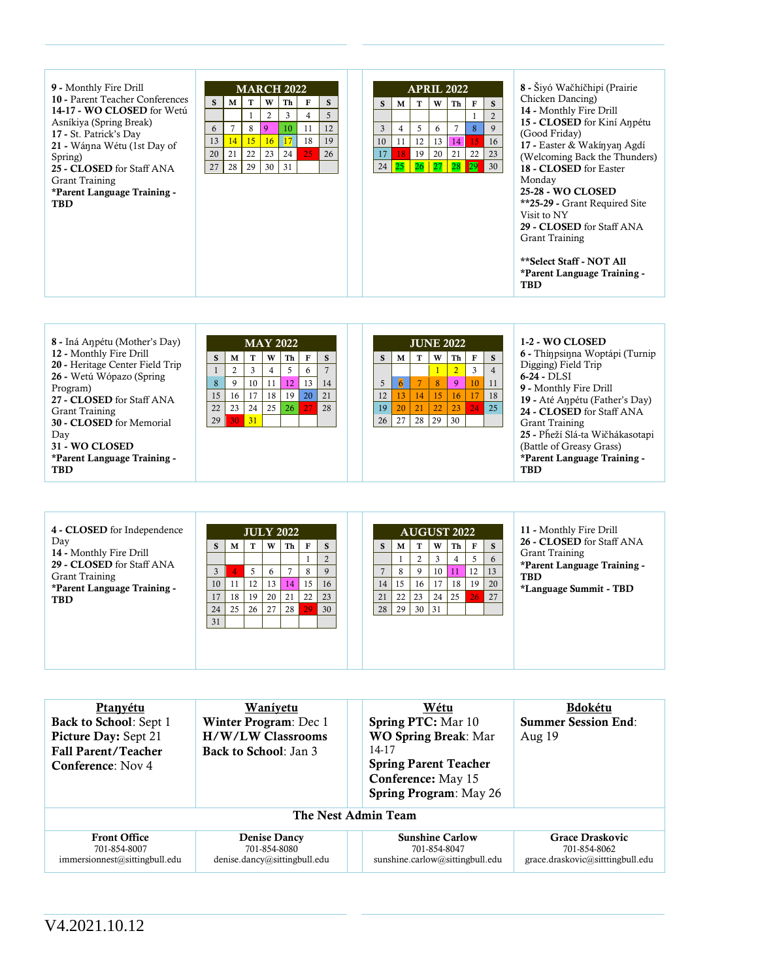| 9 - Monthly Fire Drill<br>10 - Parent Teacher Conferences<br>14-17 - WO CLOSED for Wetú<br>Asníkiya (Spring Break)<br>17 - St. Patrick's Day<br>21 - Wánna Wétu (1st Day of<br>Spring)<br>25 - CLOSED for Staff ANA<br>Grant Training<br>*Parent Language Training -<br><b>TBD</b> | S<br>6<br>13<br>20<br>27 | M<br>14<br>21<br>28 | т<br>8<br>15<br>22<br>29 | W<br>2<br>9<br>16<br>23<br>30 | <b>MARCH 2022</b><br>Th<br>3<br>10<br>17<br>24<br>31 | F<br>4<br>11<br>18<br>25 | S<br>5<br>12<br>19<br>26 |  | S<br>3<br>10<br>17 | М<br>4<br>11<br>18<br>$24 \mid 25$ | т<br>5<br>12<br>19<br>$26$   27 | <b>APRIL 2022</b><br>W<br>6<br>13<br>20 | Th<br>14<br>21<br>28 | $\mathbf F$<br>8<br>15<br>22<br>$\boxed{29}$ | S<br>9<br>16<br>23<br>30 | 8 - Šiyó Wačhíčhipi (Prairie<br>Chicken Dancing)<br>14 - Monthly Fire Drill<br>15 - CLOSED for Kiní Anpétu<br>(Good Friday)<br>17 - Easter & Wakinyan Agdi<br>(Welcoming Back the Thunders)<br>18 - CLOSED for Easter<br>Monday<br><b>25-28 - WO CLOSED</b><br>**25-29 - Grant Required Site<br>Visit to NY<br>29 - CLOSED for Staff ANA<br>Grant Training |
|------------------------------------------------------------------------------------------------------------------------------------------------------------------------------------------------------------------------------------------------------------------------------------|--------------------------|---------------------|--------------------------|-------------------------------|------------------------------------------------------|--------------------------|--------------------------|--|--------------------|------------------------------------|---------------------------------|-----------------------------------------|----------------------|----------------------------------------------|--------------------------|------------------------------------------------------------------------------------------------------------------------------------------------------------------------------------------------------------------------------------------------------------------------------------------------------------------------------------------------------------|
|                                                                                                                                                                                                                                                                                    |                          |                     |                          |                               |                                                      |                          |                          |  |                    |                                    |                                 |                                         |                      |                                              |                          | **Select Staff - NOT All<br>*Parent Language Training -<br><b>TBD</b>                                                                                                                                                                                                                                                                                      |

| 8 - Iná Anpétu (Mother's Day)<br>12 - Monthly Fire Drill<br>20 - Heritage Center Field Trip<br>26 - Wetú Wópazo (Spring<br>Program)<br>27 - CLOSED for Staff ANA<br><b>Grant Training</b> | S<br>8<br>15<br>22 | М<br>16<br>23 | т<br>10<br>17<br>24 | W<br>4<br>18<br>25 | <b>MAY 2022</b><br>Тh<br>12<br>19<br><sup>26</sup> | F<br>6<br>13<br>20<br>27 | S.<br>14<br>21<br>28 |  | S.<br>12<br>19 | М<br>13<br>20 | <b>JUNE 2022</b><br>т<br>14<br>21 | W<br>8<br>15<br>22 | Th<br>9<br>16<br>23 | F<br>3<br>10<br>24 | S.<br>$\overline{4}$<br>11<br>18<br>25' | 1-2 - WO CLOSED<br>6 - Thínpsinna Woptápi (Turnip<br>Digging) Field Trip<br>$6-24 - DLSI$<br>9 - Monthly Fire Drill<br>19 - Até Anpétu (Father's Day)<br>24 - CLOSED for Staff ANA |
|-------------------------------------------------------------------------------------------------------------------------------------------------------------------------------------------|--------------------|---------------|---------------------|--------------------|----------------------------------------------------|--------------------------|----------------------|--|----------------|---------------|-----------------------------------|--------------------|---------------------|--------------------|-----------------------------------------|------------------------------------------------------------------------------------------------------------------------------------------------------------------------------------|
| 30 - CLOSED for Memorial<br>Dav<br>31 - WO CLOSED<br>*Parent Language Training -<br><b>TBD</b>                                                                                            | 29                 | 30            | 31                  |                    |                                                    |                          |                      |  | 26             | 27            | 28                                | 29                 | 30                  |                    |                                         | Grant Training<br>25 - Pňeží Slá-ta Wičhákasotapi<br>(Battle of Greasy Grass)<br>*Parent Language Training -<br><b>TBD</b>                                                         |

| 4 - CLOSED for Independence<br>Day                   |                |    |                 |    | <b>JULY 2022</b> |    |    |  |    |      |    |                | <b>AUGUST 2022</b> |    | 11 - Monthly Fire Drill |                                           |
|------------------------------------------------------|----------------|----|-----------------|----|------------------|----|----|--|----|------|----|----------------|--------------------|----|-------------------------|-------------------------------------------|
|                                                      | S              | М  | т               | W  | Th I             | F  | S  |  | S. | М    | т  | W              | Th                 | F  | <sub>S</sub>            | 26 - CLOSED for Staff ANA                 |
| 14 - Monthly Fire Drill<br>29 - CLOSED for Staff ANA |                |    |                 |    |                  |    |    |  |    |      |    |                |                    |    | 6                       | Grant Training                            |
| <b>Grant Training</b>                                | $\overline{3}$ |    | 5               | 6  |                  | 8  | 9  |  |    | 8    | 9  | 10             |                    | 12 | 13                      | *Parent Language Training -<br><b>TBD</b> |
| *Parent Language Training -                          | 10             | 11 | 12              | 13 | 14               | 15 | 16 |  | 14 | 15   | 16 |                | 18                 | 19 | 20                      | *Language Summit - TBD                    |
| <b>TBD</b>                                           | 17             | 18 | 19              | 20 | 21               | 22 | 23 |  | 21 | 22   | 23 | 24             | 25                 | 26 | 27                      |                                           |
|                                                      | 24             | 25 | 26 <sup>1</sup> | 27 | 28 I             | 29 | 30 |  | 28 | 29 l | 30 | $\frac{31}{2}$ |                    |    |                         |                                           |
|                                                      | 31             |    |                 |    |                  |    |    |  |    |      |    |                |                    |    |                         |                                           |
|                                                      |                |    |                 |    |                  |    |    |  |    |      |    |                |                    |    |                         |                                           |
|                                                      |                |    |                 |    |                  |    |    |  |    |      |    |                |                    |    |                         |                                           |
|                                                      |                |    |                 |    |                  |    |    |  |    |      |    |                |                    |    |                         |                                           |

| Ptanyétu<br><b>Back to School: Sept 1</b><br><b>Picture Day:</b> Sept 21<br><b>Fall Parent/Teacher</b><br><b>Conference:</b> Nov 4 | Waniyetu<br>Winter Program: Dec 1<br><b>H/W/LW Classrooms</b><br><b>Back to School: Jan 3</b> | Wétu<br><b>Spring PTC:</b> Mar 10<br><b>WO Spring Break: Mar</b><br>14-17<br><b>Spring Parent Teacher</b><br>Conference: May 15<br><b>Spring Program: May 26</b> | <b>Bdokétu</b><br><b>Summer Session End:</b><br>Aug $19$                   |  |  |  |  |  |  |  |  |  |  |
|------------------------------------------------------------------------------------------------------------------------------------|-----------------------------------------------------------------------------------------------|------------------------------------------------------------------------------------------------------------------------------------------------------------------|----------------------------------------------------------------------------|--|--|--|--|--|--|--|--|--|--|
| The Nest Admin Team                                                                                                                |                                                                                               |                                                                                                                                                                  |                                                                            |  |  |  |  |  |  |  |  |  |  |
| <b>Front Office</b><br>701-854-8007<br>immersionnest@sittingbull.edu                                                               | <b>Denise Dancy</b><br>701-854-8080<br>denise.dancy@sitting bull.edu                          | <b>Sunshine Carlow</b><br>701-854-8047<br>sunshine.carlow@sittingbull.edu                                                                                        | <b>Grace Draskovic</b><br>701-854-8062<br>grace.draskovic@sitttingbull.edu |  |  |  |  |  |  |  |  |  |  |